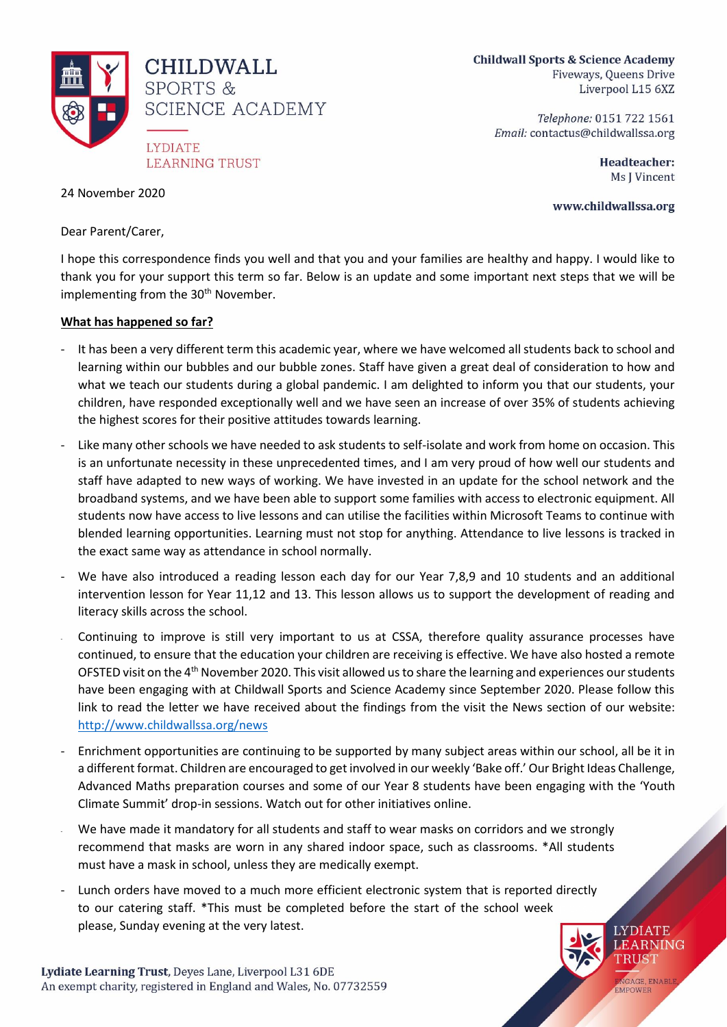

**Childwall Sports & Science Academy** Fiveways, Queens Drive Liverpool L15 6XZ

> Telephone: 0151 722 1561 Email: contactus@childwallssa.org

> > Headteacher: Ms J Vincent

> > > **LYDIATE LEARNING TRUST**

ENGAGE, ENABLI

www.childwallssa.org

24 November 2020

Dear Parent/Carer,

I hope this correspondence finds you well and that you and your families are healthy and happy. I would like to thank you for your support this term so far. Below is an update and some important next steps that we will be implementing from the 30<sup>th</sup> November.

## **What has happened so far?**

- It has been a very different term this academic year, where we have welcomed all students back to school and learning within our bubbles and our bubble zones. Staff have given a great deal of consideration to how and what we teach our students during a global pandemic. I am delighted to inform you that our students, your children, have responded exceptionally well and we have seen an increase of over 35% of students achieving the highest scores for their positive attitudes towards learning.
- Like many other schools we have needed to ask students to self-isolate and work from home on occasion. This is an unfortunate necessity in these unprecedented times, and I am very proud of how well our students and staff have adapted to new ways of working. We have invested in an update for the school network and the broadband systems, and we have been able to support some families with access to electronic equipment. All students now have access to live lessons and can utilise the facilities within Microsoft Teams to continue with blended learning opportunities. Learning must not stop for anything. Attendance to live lessons is tracked in the exact same way as attendance in school normally.
- We have also introduced a reading lesson each day for our Year 7,8,9 and 10 students and an additional intervention lesson for Year 11,12 and 13. This lesson allows us to support the development of reading and literacy skills across the school.
- Continuing to improve is still very important to us at CSSA, therefore quality assurance processes have continued, to ensure that the education your children are receiving is effective. We have also hosted a remote OFSTED visit on the 4<sup>th</sup> November 2020. This visit allowed us to share the learning and experiences our students have been engaging with at Childwall Sports and Science Academy since September 2020. Please follow this link to read the letter we have received about the findings from the visit the News section of our website: [http://www.childwallssa.org/news](http://www.childwallssa.org/docs/10156342_-_Childwall_Sports___Science_Academy_-_138787_-_Final_PDF.pdf)
- Enrichment opportunities are continuing to be supported by many subject areas within our school, all be it in a different format. Children are encouraged to get involved in our weekly 'Bake off.' Our Bright Ideas Challenge, Advanced Maths preparation courses and some of our Year 8 students have been engaging with the 'Youth Climate Summit' drop-in sessions. Watch out for other initiatives online.
- We have made it mandatory for all students and staff to wear masks on corridors and we strongly recommend that masks are worn in any shared indoor space, such as classrooms. \*All students must have a mask in school, unless they are medically exempt.
- Lunch orders have moved to a much more efficient electronic system that is reported directly to our catering staff. \*This must be completed before the start of the school week please, Sunday evening at the very latest.

Lydiate Learning Trust, Deyes Lane, Liverpool L31 6DE An exempt charity, registered in England and Wales, No. 07732559